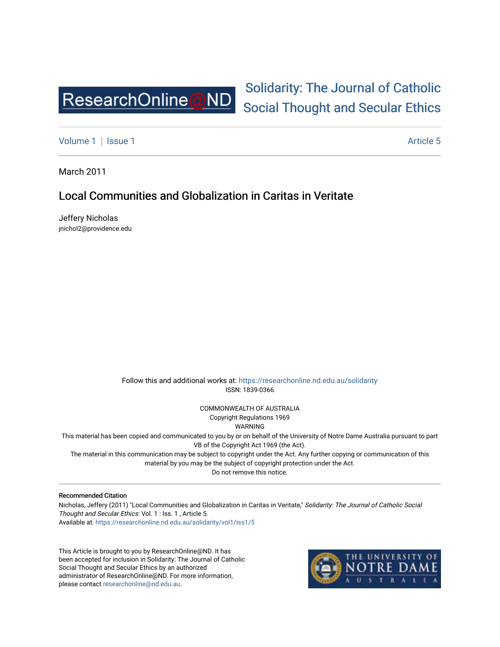

# [Solidarity: The Journal of Catholic](https://researchonline.nd.edu.au/solidarity)  [Social Thought and Secular Ethics](https://researchonline.nd.edu.au/solidarity)

[Volume 1](https://researchonline.nd.edu.au/solidarity/vol1) | [Issue 1](https://researchonline.nd.edu.au/solidarity/vol1/iss1) Article 5

March 2011

### Local Communities and Globalization in Caritas in Veritate

Jeffery Nicholas jnichol2@providence.edu

> Follow this and additional works at: [https://researchonline.nd.edu.au/solidarity](https://researchonline.nd.edu.au/solidarity?utm_source=researchonline.nd.edu.au%2Fsolidarity%2Fvol1%2Fiss1%2F5&utm_medium=PDF&utm_campaign=PDFCoverPages)  ISSN: 1839-0366

> > COMMONWEALTH OF AUSTRALIA Copyright Regulations 1969

WARNING

This material has been copied and communicated to you by or on behalf of the University of Notre Dame Australia pursuant to part VB of the Copyright Act 1969 (the Act).

The material in this communication may be subject to copyright under the Act. Any further copying or communication of this material by you may be the subject of copyright protection under the Act.

Do not remove this notice.

#### Recommended Citation

Nicholas, Jeffery (2011) "Local Communities and Globalization in Caritas in Veritate," Solidarity: The Journal of Catholic Social Thought and Secular Ethics: Vol. 1 : Iss. 1 , Article 5. Available at: [https://researchonline.nd.edu.au/solidarity/vol1/iss1/5](https://researchonline.nd.edu.au/solidarity/vol1/iss1/5?utm_source=researchonline.nd.edu.au%2Fsolidarity%2Fvol1%2Fiss1%2F5&utm_medium=PDF&utm_campaign=PDFCoverPages) 

This Article is brought to you by ResearchOnline@ND. It has been accepted for inclusion in Solidarity: The Journal of Catholic Social Thought and Secular Ethics by an authorized administrator of ResearchOnline@ND. For more information, please contact [researchonline@nd.edu.au.](mailto:researchonline@nd.edu.au)

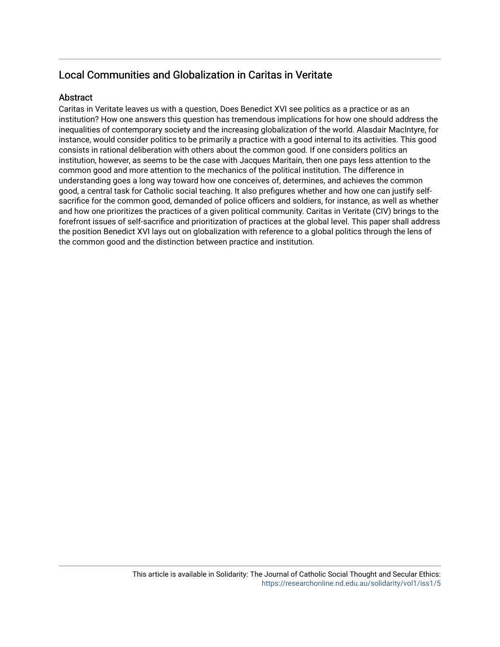## Local Communities and Globalization in Caritas in Veritate

#### **Abstract**

Caritas in Veritate leaves us with a question, Does Benedict XVI see politics as a practice or as an institution? How one answers this question has tremendous implications for how one should address the inequalities of contemporary society and the increasing globalization of the world. Alasdair MacIntyre, for instance, would consider politics to be primarily a practice with a good internal to its activities. This good consists in rational deliberation with others about the common good. If one considers politics an institution, however, as seems to be the case with Jacques Maritain, then one pays less attention to the common good and more attention to the mechanics of the political institution. The difference in understanding goes a long way toward how one conceives of, determines, and achieves the common good, a central task for Catholic social teaching. It also prefigures whether and how one can justify selfsacrifice for the common good, demanded of police officers and soldiers, for instance, as well as whether and how one prioritizes the practices of a given political community. Caritas in Veritate (CIV) brings to the forefront issues of self-sacrifice and prioritization of practices at the global level. This paper shall address the position Benedict XVI lays out on globalization with reference to a global politics through the lens of the common good and the distinction between practice and institution.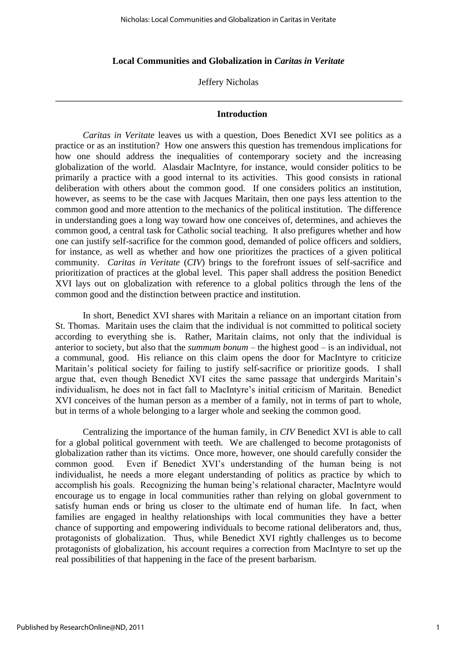#### **Local Communities and Globalization in** *Caritas in Veritate*

Jeffery Nicholas

#### **Introduction**

*Caritas in Veritate* leaves us with a question, Does Benedict XVI see politics as a practice or as an institution? How one answers this question has tremendous implications for how one should address the inequalities of contemporary society and the increasing globalization of the world. Alasdair MacIntyre, for instance, would consider politics to be primarily a practice with a good internal to its activities. This good consists in rational deliberation with others about the common good. If one considers politics an institution, however, as seems to be the case with Jacques Maritain, then one pays less attention to the common good and more attention to the mechanics of the political institution. The difference in understanding goes a long way toward how one conceives of, determines, and achieves the common good, a central task for Catholic social teaching. It also prefigures whether and how one can justify self-sacrifice for the common good, demanded of police officers and soldiers, for instance, as well as whether and how one prioritizes the practices of a given political community. *Caritas in Veritate* (*CIV*) brings to the forefront issues of self-sacrifice and prioritization of practices at the global level. This paper shall address the position Benedict XVI lays out on globalization with reference to a global politics through the lens of the common good and the distinction between practice and institution.

In short, Benedict XVI shares with Maritain a reliance on an important citation from St. Thomas. Maritain uses the claim that the individual is not committed to political society according to everything she is. Rather, Maritain claims, not only that the individual is anterior to society, but also that the *summum bonum* – the highest good – is an individual, not a communal, good. His reliance on this claim opens the door for MacIntyre to criticize Maritain's political society for failing to justify self-sacrifice or prioritize goods. I shall argue that, even though Benedict XVI cites the same passage that undergirds Maritain's individualism, he does not in fact fall to MacIntyre's initial criticism of Maritain. Benedict XVI conceives of the human person as a member of a family, not in terms of part to whole, but in terms of a whole belonging to a larger whole and seeking the common good.

Centralizing the importance of the human family, in *CIV* Benedict XVI is able to call for a global political government with teeth. We are challenged to become protagonists of globalization rather than its victims. Once more, however, one should carefully consider the common good. Even if Benedict XVI's understanding of the human being is not individualist, he needs a more elegant understanding of politics as practice by which to accomplish his goals. Recognizing the human being's relational character, MacIntyre would encourage us to engage in local communities rather than relying on global government to satisfy human ends or bring us closer to the ultimate end of human life. In fact, when families are engaged in healthy relationships with local communities they have a better chance of supporting and empowering individuals to become rational deliberators and, thus, protagonists of globalization. Thus, while Benedict XVI rightly challenges us to become protagonists of globalization, his account requires a correction from MacIntyre to set up the real possibilities of that happening in the face of the present barbarism.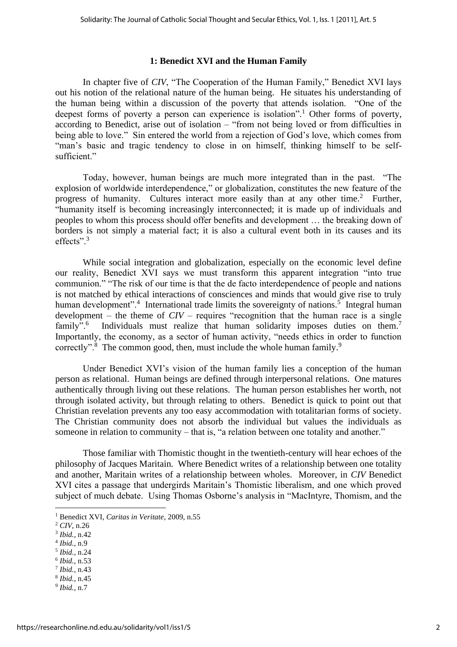#### **1: Benedict XVI and the Human Family**

In chapter five of *CIV*, "The Cooperation of the Human Family," Benedict XVI lays out his notion of the relational nature of the human being. He situates his understanding of the human being within a discussion of the poverty that attends isolation. "One of the deepest forms of poverty a person can experience is isolation".<sup>1</sup> Other forms of poverty, according to Benedict, arise out of isolation – "from not being loved or from difficulties in being able to love." Sin entered the world from a rejection of God's love, which comes from "man's basic and tragic tendency to close in on himself, thinking himself to be selfsufficient."

Today, however, human beings are much more integrated than in the past. "The explosion of worldwide interdependence," or globalization, constitutes the new feature of the progress of humanity. Cultures interact more easily than at any other time.<sup>2</sup> Further, "humanity itself is becoming increasingly interconnected; it is made up of individuals and peoples to whom this process should offer benefits and development … the breaking down of borders is not simply a material fact; it is also a cultural event both in its causes and its effects".<sup>3</sup>

While social integration and globalization, especially on the economic level define our reality, Benedict XVI says we must transform this apparent integration "into true communion." "The risk of our time is that the de facto interdependence of people and nations is not matched by ethical interactions of consciences and minds that would give rise to truly human development".<sup>4</sup> International trade limits the sovereignty of nations.<sup>5</sup> Integral human development – the theme of *CIV* – requires "recognition that the human race is a single  $family$ ".<sup>6</sup> Individuals must realize that human solidarity imposes duties on them.<sup>7</sup> Importantly, the economy, as a sector of human activity, "needs ethics in order to function correctly".<sup>8</sup> The common good, then, must include the whole human family.<sup>9</sup>

Under Benedict XVI's vision of the human family lies a conception of the human person as relational. Human beings are defined through interpersonal relations. One matures authentically through living out these relations. The human person establishes her worth, not through isolated activity, but through relating to others. Benedict is quick to point out that Christian revelation prevents any too easy accommodation with totalitarian forms of society. The Christian community does not absorb the individual but values the individuals as someone in relation to community – that is, "a relation between one totality and another."

Those familiar with Thomistic thought in the twentieth-century will hear echoes of the philosophy of Jacques Maritain. Where Benedict writes of a relationship between one totality and another, Maritain writes of a relationship between wholes. Moreover, in *CIV* Benedict XVI cites a passage that undergirds Maritain's Thomistic liberalism, and one which proved subject of much debate. Using Thomas Osborne's analysis in "MacIntyre, Thomism, and the

- 4 *Ibid.*, n.9
- 5 *Ibid.*, n.24
- 6 *Ibid.*, n.53
- 7 *Ibid.*, n.43 8 *Ibid.*, n.45
- 9 *Ibid.*, n.7

<sup>1</sup> Benedict XVI, *Caritas in Veritate*, 2009, n.55

<sup>2</sup> *CIV*, n.26

<sup>3</sup> *Ibid.*, n.42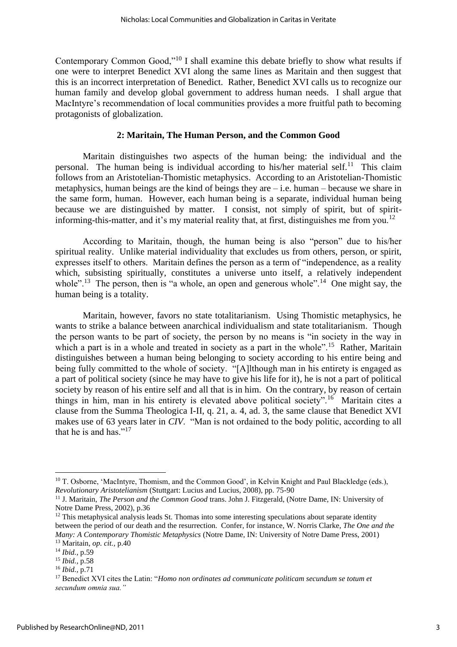Contemporary Common Good,"<sup>10</sup> I shall examine this debate briefly to show what results if one were to interpret Benedict XVI along the same lines as Maritain and then suggest that this is an incorrect interpretation of Benedict. Rather, Benedict XVI calls us to recognize our human family and develop global government to address human needs. I shall argue that MacIntyre's recommendation of local communities provides a more fruitful path to becoming protagonists of globalization.

### **2: Maritain, The Human Person, and the Common Good**

Maritain distinguishes two aspects of the human being: the individual and the personal. The human being is individual according to his/her material self.<sup>11</sup> This claim follows from an Aristotelian-Thomistic metaphysics. According to an Aristotelian-Thomistic metaphysics, human beings are the kind of beings they are – i.e. human – because we share in the same form, human. However, each human being is a separate, individual human being because we are distinguished by matter. I consist, not simply of spirit, but of spiritinforming-this-matter, and it's my material reality that, at first, distinguishes me from you.<sup>12</sup>

According to Maritain, though, the human being is also "person" due to his/her spiritual reality. Unlike material individuality that excludes us from others, person, or spirit, expresses itself to others. Maritain defines the person as a term of "independence, as a reality which, subsisting spiritually, constitutes a universe unto itself, a relatively independent whole".<sup>13</sup> The person, then is "a whole, an open and generous whole".<sup>14</sup> One might say, the human being is a totality.

Maritain, however, favors no state totalitarianism. Using Thomistic metaphysics, he wants to strike a balance between anarchical individualism and state totalitarianism. Though the person wants to be part of society, the person by no means is "in society in the way in which a part is in a whole and treated in society as a part in the whole".<sup>15</sup> Rather, Maritain distinguishes between a human being belonging to society according to his entire being and being fully committed to the whole of society. "[A]lthough man in his entirety is engaged as a part of political society (since he may have to give his life for it), he is not a part of political society by reason of his entire self and all that is in him. On the contrary, by reason of certain things in him, man in his entirety is elevated above political society".<sup>16</sup> Maritain cites a clause from the Summa Theologica I-II, q. 21, a. 4, ad. 3, the same clause that Benedict XVI makes use of 63 years later in *CIV*. "Man is not ordained to the body politic, according to all that he is and has." $17$ 

<sup>&</sup>lt;sup>10</sup> T. Osborne, 'MacIntyre, Thomism, and the Common Good', in Kelvin Knight and Paul Blackledge (eds.), *Revolutionary Aristotelianism* (Stuttgart: Lucius and Lucius, 2008), pp. 75-90

<sup>&</sup>lt;sup>11</sup> J. Maritain, *The Person and the Common Good* trans. John J. Fitzgerald, (Notre Dame, IN: University of Notre Dame Press, 2002), p.36

 $12$  This metaphysical analysis leads St. Thomas into some interesting speculations about separate identity between the period of our death and the resurrection. Confer, for instance, W. Norris Clarke, *The One and the Many: A Contemporary Thomistic Metaphysics* (Notre Dame, IN: University of Notre Dame Press, 2001)

<sup>13</sup> Maritain, *op. cit.,* p.40

<sup>14</sup> *Ibid.,* p.59

<sup>15</sup> *Ibid.,* p.58

<sup>16</sup> *Ibid.,* p.71

<sup>17</sup> Benedict XVI cites the Latin: "*Homo non ordinates ad communicate politicam secundum se totum et secundum omnia sua."*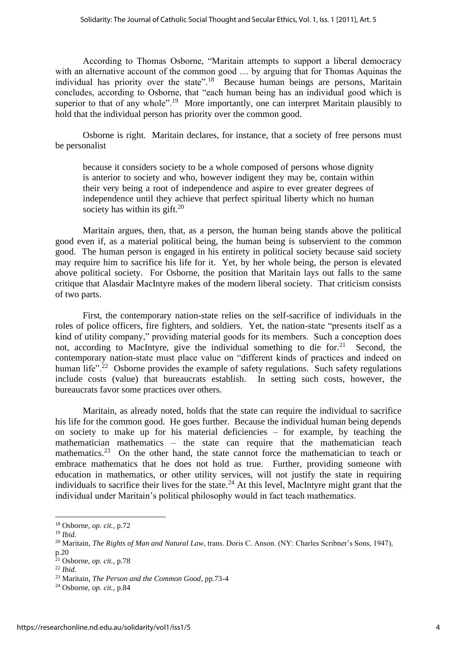According to Thomas Osborne, "Maritain attempts to support a liberal democracy with an alternative account of the common good ... by arguing that for Thomas Aquinas the individual has priority over the state".<sup>18</sup> Because human beings are persons, Maritain concludes, according to Osborne, that "each human being has an individual good which is superior to that of any whole".<sup>19</sup> More importantly, one can interpret Maritain plausibly to hold that the individual person has priority over the common good.

Osborne is right. Maritain declares, for instance, that a society of free persons must be personalist

because it considers society to be a whole composed of persons whose dignity is anterior to society and who, however indigent they may be, contain within their very being a root of independence and aspire to ever greater degrees of independence until they achieve that perfect spiritual liberty which no human society has within its gift. $20$ 

Maritain argues, then, that, as a person, the human being stands above the political good even if, as a material political being, the human being is subservient to the common good. The human person is engaged in his entirety in political society because said society may require him to sacrifice his life for it. Yet, by her whole being, the person is elevated above political society. For Osborne, the position that Maritain lays out falls to the same critique that Alasdair MacIntyre makes of the modern liberal society. That criticism consists of two parts.

First, the contemporary nation-state relies on the self-sacrifice of individuals in the roles of police officers, fire fighters, and soldiers. Yet, the nation-state "presents itself as a kind of utility company," providing material goods for its members. Such a conception does not, according to MacIntyre, give the individual something to die for. $21$  Second, the contemporary nation-state must place value on "different kinds of practices and indeed on human life".<sup>22</sup> Osborne provides the example of safety regulations. Such safety regulations include costs (value) that bureaucrats establish. In setting such costs, however, the bureaucrats favor some practices over others.

Maritain, as already noted, holds that the state can require the individual to sacrifice his life for the common good. He goes further. Because the individual human being depends on society to make up for his material deficiencies – for example, by teaching the mathematician mathematics – the state can require that the mathematician teach mathematics.<sup>23</sup> On the other hand, the state cannot force the mathematician to teach or embrace mathematics that he does not hold as true. Further, providing someone with education in mathematics, or other utility services, will not justify the state in requiring individuals to sacrifice their lives for the state.<sup>24</sup> At this level, MacIntyre might grant that the individual under Maritain's political philosophy would in fact teach mathematics.

<sup>18</sup> Osborne, *op. cit.,* p.72

<sup>19</sup> *Ibid.*

<sup>&</sup>lt;sup>20</sup> Maritain, *The Rights of Man and Natural Law*, trans. Doris C. Anson. (NY: Charles Scribner's Sons, 1947), p.20

<sup>21</sup> Osborne, *op. cit.,* p.78

<sup>22</sup> *Ibid.*

<sup>23</sup> Maritain, *The Person and the Common Good*, pp.73-4

<sup>24</sup> Osborne, *op. cit.,* p.84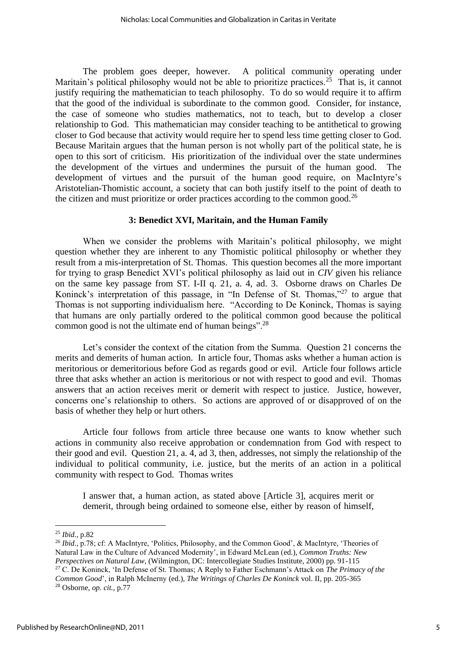The problem goes deeper, however. A political community operating under Maritain's political philosophy would not be able to prioritize practices.<sup>25</sup> That is, it cannot justify requiring the mathematician to teach philosophy. To do so would require it to affirm that the good of the individual is subordinate to the common good. Consider, for instance, the case of someone who studies mathematics, not to teach, but to develop a closer relationship to God. This mathematician may consider teaching to be antithetical to growing closer to God because that activity would require her to spend less time getting closer to God. Because Maritain argues that the human person is not wholly part of the political state, he is open to this sort of criticism. His prioritization of the individual over the state undermines the development of the virtues and undermines the pursuit of the human good. The development of virtues and the pursuit of the human good require, on MacIntyre's Aristotelian-Thomistic account, a society that can both justify itself to the point of death to the citizen and must prioritize or order practices according to the common good.<sup>26</sup>

#### **3: Benedict XVI, Maritain, and the Human Family**

When we consider the problems with Maritain's political philosophy, we might question whether they are inherent to any Thomistic political philosophy or whether they result from a mis-interpretation of St. Thomas. This question becomes all the more important for trying to grasp Benedict XVI's political philosophy as laid out in *CIV* given his reliance on the same key passage from ST. I-II q. 21, a. 4, ad. 3. Osborne draws on Charles De Koninck's interpretation of this passage, in "In Defense of St. Thomas,"<sup>27</sup> to argue that Thomas is not supporting individualism here. "According to De Koninck, Thomas is saying that humans are only partially ordered to the political common good because the political common good is not the ultimate end of human beings".<sup>28</sup>

Let's consider the context of the citation from the Summa. Question 21 concerns the merits and demerits of human action. In article four, Thomas asks whether a human action is meritorious or demeritorious before God as regards good or evil. Article four follows article three that asks whether an action is meritorious or not with respect to good and evil. Thomas answers that an action receives merit or demerit with respect to justice. Justice, however, concerns one's relationship to others. So actions are approved of or disapproved of on the basis of whether they help or hurt others.

Article four follows from article three because one wants to know whether such actions in community also receive approbation or condemnation from God with respect to their good and evil. Question 21, a. 4, ad 3, then, addresses, not simply the relationship of the individual to political community, i.e. justice, but the merits of an action in a political community with respect to God. Thomas writes

I answer that, a human action, as stated above [Article 3], acquires merit or demerit, through being ordained to someone else, either by reason of himself,

<sup>25</sup> *Ibid.,* p.82

<sup>&</sup>lt;sup>26</sup> *Ibid.*, p.78; cf: A MacIntyre, 'Politics, Philosophy, and the Common Good', & MacIntyre, 'Theories of Natural Law in the Culture of Advanced Modernity', in Edward McLean (ed.), *Common Truths: New Perspectives on Natural Law*, (Wilmington, DC: Intercollegiate Studies Institute, 2000) pp. 91-115 <sup>27</sup> C. De Koninck, 'In Defense of St. Thomas; A Reply to Father Eschmann's Attack on *The Primacy of the Common Good*', in Ralph McInerny (ed.), *The Writings of Charles De Koninck* vol. II, pp. 205-365 <sup>28</sup> Osborne, *op. cit.,* p.77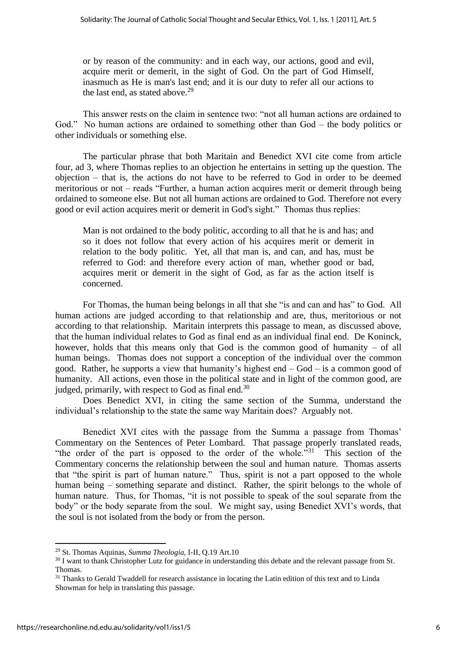or by reason of the community: and in each way, our actions, good and evil, acquire merit or demerit, in the sight of God. On the part of God Himself, inasmuch as He is man's last end; and it is our duty to refer all our actions to the last end, as stated above.<sup>29</sup>

This answer rests on the claim in sentence two: "not all human actions are ordained to God." No human actions are ordained to something other than God – the body politics or other individuals or something else.

The particular phrase that both Maritain and Benedict XVI cite come from article four, ad 3, where Thomas replies to an objection he entertains in setting up the question. The objection – that is, the actions do not have to be referred to God in order to be deemed meritorious or not – reads "Further, a [human](http://www.newadvent.org/cathen/09580c.htm) action acquires [merit](http://www.newadvent.org/cathen/10202b.htm) or demerit through being ordained to someone else. But not all [human](http://www.newadvent.org/cathen/09580c.htm) actions are ordained to [God.](http://www.newadvent.org/cathen/06608a.htm) Therefore not every [good](http://www.newadvent.org/cathen/06636b.htm) or [evil](http://www.newadvent.org/cathen/05649a.htm) action acquires [merit](http://www.newadvent.org/cathen/10202b.htm) or demerit in [God's](http://www.newadvent.org/cathen/06608a.htm) sight." Thomas thus replies:

[Man](http://www.newadvent.org/cathen/09580c.htm) is not ordained to the body politic, according to all that he is and has; and so it does not follow that every action of his acquires [merit](http://www.newadvent.org/cathen/10202b.htm) or demerit in relation to the body politic. Yet, all that [man](http://www.newadvent.org/cathen/09580c.htm) is, and can, and has, must be referred to [God:](http://www.newadvent.org/cathen/06608a.htm) and therefore every action of [man,](http://www.newadvent.org/cathen/09580c.htm) whether [good](http://www.newadvent.org/cathen/06636b.htm) or bad, acquires [merit](http://www.newadvent.org/cathen/10202b.htm) or demerit in the sight of [God,](http://www.newadvent.org/cathen/06608a.htm) as far as the action itself is concerned.

For Thomas, the human being belongs in all that she "is and can and has" to God. All human actions are judged according to that relationship and are, thus, meritorious or not according to that relationship. Maritain interprets this passage to mean, as discussed above, that the human individual relates to God as final end as an individual final end. De Koninck, however, holds that this means only that God is the common good of humanity – of all human beings. Thomas does not support a conception of the individual over the common good. Rather, he supports a view that humanity's highest end – God – is a common good of humanity. All actions, even those in the political state and in light of the common good, are judged, primarily, with respect to God as final end.<sup>30</sup>

Does Benedict XVI, in citing the same section of the Summa, understand the individual's relationship to the state the same way Maritain does? Arguably not.

Benedict XVI cites with the passage from the Summa a passage from Thomas' Commentary on the Sentences of Peter Lombard. That passage properly translated reads, "the order of the part is opposed to the order of the whole."<sup>31</sup> This section of the Commentary concerns the relationship between the soul and human nature. Thomas asserts that "the spirit is part of human nature." Thus, spirit is not a part opposed to the whole human being – something separate and distinct. Rather, the spirit belongs to the whole of human nature. Thus, for Thomas, "it is not possible to speak of the soul separate from the body" or the body separate from the soul. We might say, using Benedict XVI's words, that the soul is not isolated from the body or from the person.

<sup>29</sup> St. Thomas Aquinas, *Summa Theologia,* I-II, Q.19 Art.10

<sup>&</sup>lt;sup>30</sup> I want to thank Christopher Lutz for guidance in understanding this debate and the relevant passage from St. Thomas.

<sup>&</sup>lt;sup>31</sup> Thanks to Gerald Twaddell for research assistance in locating the Latin edition of this text and to Linda Showman for help in translating this passage.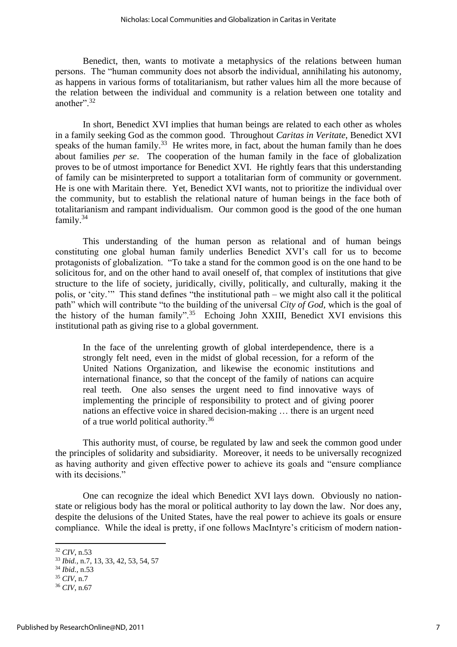Benedict, then, wants to motivate a metaphysics of the relations between human persons. The "human community does not absorb the individual, annihilating his autonomy, as happens in various forms of totalitarianism, but rather values him all the more because of the relation between the individual and community is a relation between one totality and another".<sup>32</sup>

In short, Benedict XVI implies that human beings are related to each other as wholes in a family seeking God as the common good. Throughout *Caritas in Veritate*, Benedict XVI speaks of the human family.<sup>33</sup> He writes more, in fact, about the human family than he does about families *per se*. The cooperation of the human family in the face of globalization proves to be of utmost importance for Benedict XVI. He rightly fears that this understanding of family can be misinterpreted to support a totalitarian form of community or government. He is one with Maritain there. Yet, Benedict XVI wants, not to prioritize the individual over the community, but to establish the relational nature of human beings in the face both of totalitarianism and rampant individualism. Our common good is the good of the one human family.<sup>34</sup>

This understanding of the human person as relational and of human beings constituting one global human family underlies Benedict XVI's call for us to become protagonists of globalization. "To take a stand for the common good is on the one hand to be solicitous for, and on the other hand to avail oneself of, that complex of institutions that give structure to the life of society, juridically, civilly, politically, and culturally, making it the polis, or 'city.'" This stand defines "the institutional path – we might also call it the political path" which will contribute "to the building of the universal *City of God*, which is the goal of the history of the human family".<sup>35</sup> Echoing John XXIII, Benedict XVI envisions this institutional path as giving rise to a global government.

In the face of the unrelenting growth of global interdependence, there is a strongly felt need, even in the midst of global recession, for a reform of the United Nations Organization, and likewise the economic institutions and international finance, so that the concept of the family of nations can acquire real teeth. One also senses the urgent need to find innovative ways of implementing the principle of responsibility to protect and of giving poorer nations an effective voice in shared decision-making … there is an urgent need of a true world political authority.<sup>36</sup>

This authority must, of course, be regulated by law and seek the common good under the principles of solidarity and subsidiarity. Moreover, it needs to be universally recognized as having authority and given effective power to achieve its goals and "ensure compliance with its decisions."

One can recognize the ideal which Benedict XVI lays down. Obviously no nationstate or religious body has the moral or political authority to lay down the law. Nor does any, despite the delusions of the United States, have the real power to achieve its goals or ensure compliance. While the ideal is pretty, if one follows MacIntyre's criticism of modern nation-

<sup>32</sup> *CIV*, n.53

<sup>33</sup> *Ibid.,* n.7, 13, 33, 42, 53, 54, 57

<sup>34</sup> *Ibid.,* n.53

<sup>35</sup> *CIV*, n.7

<sup>36</sup> *CIV*, n.67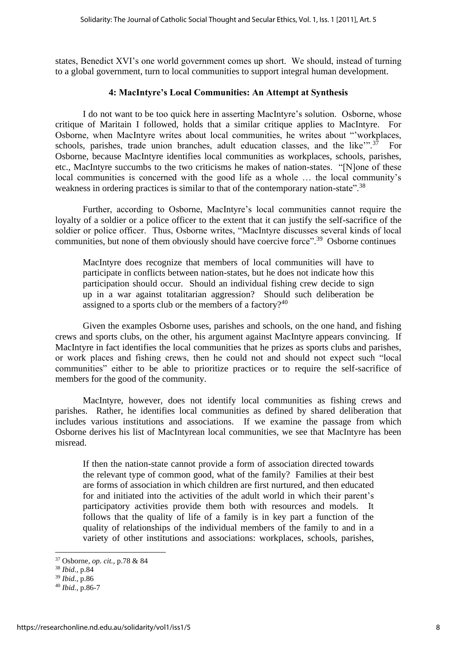states, Benedict XVI's one world government comes up short. We should, instead of turning to a global government, turn to local communities to support integral human development.

#### **4: MacIntyre's Local Communities: An Attempt at Synthesis**

I do not want to be too quick here in asserting MacIntyre's solution. Osborne, whose critique of Maritain I followed, holds that a similar critique applies to MacIntyre. For Osborne, when MacIntyre writes about local communities, he writes about "'workplaces, schools, parishes, trade union branches, adult education classes, and the like"<sup>37</sup> For Osborne, because MacIntyre identifies local communities as workplaces, schools, parishes, etc., MacIntyre succumbs to the two criticisms he makes of nation-states. "[N]one of these local communities is concerned with the good life as a whole … the local community's weakness in ordering practices is similar to that of the contemporary nation-state".<sup>38</sup>

Further, according to Osborne, MacIntyre's local communities cannot require the loyalty of a soldier or a police officer to the extent that it can justify the self-sacrifice of the soldier or police officer. Thus, Osborne writes, "MacIntyre discusses several kinds of local communities, but none of them obviously should have coercive force".<sup>39</sup> Osborne continues

MacIntyre does recognize that members of local communities will have to participate in conflicts between nation-states, but he does not indicate how this participation should occur. Should an individual fishing crew decide to sign up in a war against totalitarian aggression? Should such deliberation be assigned to a sports club or the members of a factory? $40$ 

Given the examples Osborne uses, parishes and schools, on the one hand, and fishing crews and sports clubs, on the other, his argument against MacIntyre appears convincing. If MacIntyre in fact identifies the local communities that he prizes as sports clubs and parishes, or work places and fishing crews, then he could not and should not expect such "local communities" either to be able to prioritize practices or to require the self-sacrifice of members for the good of the community.

MacIntyre, however, does not identify local communities as fishing crews and parishes. Rather, he identifies local communities as defined by shared deliberation that includes various institutions and associations. If we examine the passage from which Osborne derives his list of MacIntyrean local communities, we see that MacIntyre has been misread.

If then the nation-state cannot provide a form of association directed towards the relevant type of common good, what of the family? Families at their best are forms of association in which children are first nurtured, and then educated for and initiated into the activities of the adult world in which their parent's participatory activities provide them both with resources and models. It follows that the quality of life of a family is in key part a function of the quality of relationships of the individual members of the family to and in a variety of other institutions and associations: workplaces, schools, parishes,

<sup>37</sup> Osborne, *op. cit.,* p.78 & 84

<sup>38</sup> *Ibid.,* p.84

<sup>39</sup> *Ibid.,* p.86

<sup>40</sup> *Ibid.,* p.86-7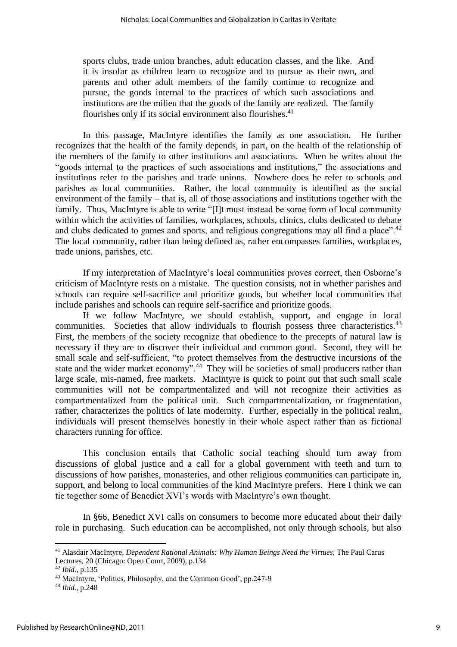sports clubs, trade union branches, adult education classes, and the like. And it is insofar as children learn to recognize and to pursue as their own, and parents and other adult members of the family continue to recognize and pursue, the goods internal to the practices of which such associations and institutions are the milieu that the goods of the family are realized. The family flourishes only if its social environment also flourishes.<sup>41</sup>

In this passage, MacIntyre identifies the family as one association. He further recognizes that the health of the family depends, in part, on the health of the relationship of the members of the family to other institutions and associations. When he writes about the "goods internal to the practices of such associations and institutions," the associations and institutions refer to the parishes and trade unions. Nowhere does he refer to schools and parishes as local communities. Rather, the local community is identified as the social environment of the family – that is, all of those associations and institutions together with the family. Thus, MacIntyre is able to write "[I]t must instead be some form of local community within which the activities of families, workplaces, schools, clinics, clubs dedicated to debate and clubs dedicated to games and sports, and religious congregations may all find a place".<sup>42</sup> The local community, rather than being defined as, rather encompasses families, workplaces, trade unions, parishes, etc.

If my interpretation of MacIntyre's local communities proves correct, then Osborne's criticism of MacIntyre rests on a mistake. The question consists, not in whether parishes and schools can require self-sacrifice and prioritize goods, but whether local communities that include parishes and schools can require self-sacrifice and prioritize goods.

If we follow MacIntyre, we should establish, support, and engage in local communities. Societies that allow individuals to flourish possess three characteristics.<sup>43</sup> First, the members of the society recognize that obedience to the precepts of natural law is necessary if they are to discover their individual and common good. Second, they will be small scale and self-sufficient, "to protect themselves from the destructive incursions of the state and the wider market economy".<sup>44</sup> They will be societies of small producers rather than large scale, mis-named, free markets. MacIntyre is quick to point out that such small scale communities will not be compartmentalized and will not recognize their activities as compartmentalized from the political unit. Such compartmentalization, or fragmentation, rather, characterizes the politics of late modernity. Further, especially in the political realm, individuals will present themselves honestly in their whole aspect rather than as fictional characters running for office.

This conclusion entails that Catholic social teaching should turn away from discussions of global justice and a call for a global government with teeth and turn to discussions of how parishes, monasteries, and other religious communities can participate in, support, and belong to local communities of the kind MacIntyre prefers. Here I think we can tie together some of Benedict XVI's words with MacIntyre's own thought.

In §66, Benedict XVI calls on consumers to become more educated about their daily role in purchasing. Such education can be accomplished, not only through schools, but also

<sup>41</sup> Alasdair MacIntyre, *Dependent Rational Animals: Why Human Beings Need the Virtues,* The Paul Carus Lectures, 20 (Chicago: Open Court, 2009), p.134

<sup>42</sup> *Ibid.,* p.135

<sup>43</sup> MacIntyre, 'Politics, Philosophy, and the Common Good', pp.247-9

<sup>44</sup> *Ibid.,* p.248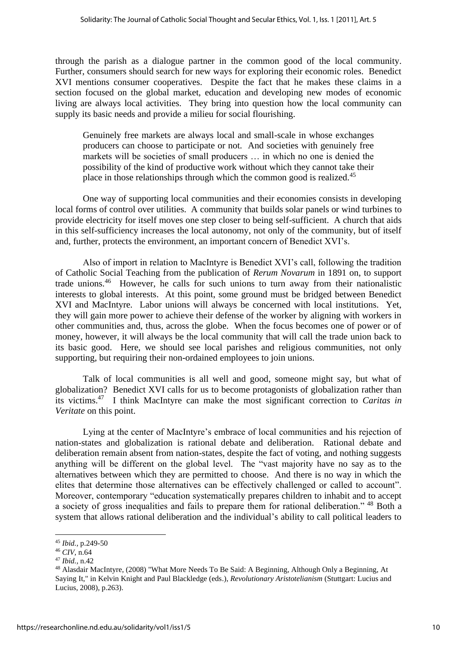through the parish as a dialogue partner in the common good of the local community. Further, consumers should search for new ways for exploring their economic roles. Benedict XVI mentions consumer cooperatives. Despite the fact that he makes these claims in a section focused on the global market, education and developing new modes of economic living are always local activities. They bring into question how the local community can supply its basic needs and provide a milieu for social flourishing.

Genuinely free markets are always local and small-scale in whose exchanges producers can choose to participate or not. And societies with genuinely free markets will be societies of small producers … in which no one is denied the possibility of the kind of productive work without which they cannot take their place in those relationships through which the common good is realized.<sup>45</sup>

One way of supporting local communities and their economies consists in developing local forms of control over utilities. A community that builds solar panels or wind turbines to provide electricity for itself moves one step closer to being self-sufficient. A church that aids in this self-sufficiency increases the local autonomy, not only of the community, but of itself and, further, protects the environment, an important concern of Benedict XVI's.

Also of import in relation to MacIntyre is Benedict XVI's call, following the tradition of Catholic Social Teaching from the publication of *Rerum Novarum* in 1891 on, to support trade unions.<sup>46</sup> However, he calls for such unions to turn away from their nationalistic interests to global interests. At this point, some ground must be bridged between Benedict XVI and MacIntyre. Labor unions will always be concerned with local institutions. Yet, they will gain more power to achieve their defense of the worker by aligning with workers in other communities and, thus, across the globe. When the focus becomes one of power or of money, however, it will always be the local community that will call the trade union back to its basic good. Here, we should see local parishes and religious communities, not only supporting, but requiring their non-ordained employees to join unions.

Talk of local communities is all well and good, someone might say, but what of globalization? Benedict XVI calls for us to become protagonists of globalization rather than its victims.<sup>47</sup> I think MacIntyre can make the most significant correction to *Caritas in Veritate* on this point.

Lying at the center of MacIntyre's embrace of local communities and his rejection of nation-states and globalization is rational debate and deliberation. Rational debate and deliberation remain absent from nation-states, despite the fact of voting, and nothing suggests anything will be different on the global level. The "vast majority have no say as to the alternatives between which they are permitted to choose. And there is no way in which the elites that determine those alternatives can be effectively challenged or called to account". Moreover, contemporary "education systematically prepares children to inhabit and to accept a society of gross inequalities and fails to prepare them for rational deliberation." <sup>48</sup> Both a system that allows rational deliberation and the individual's ability to call political leaders to

<sup>45</sup> *Ibid.,* p.249-50

<sup>46</sup> *CIV,* n.64

<sup>47</sup> *Ibid.,* n.42

<sup>48</sup> Alasdair MacIntyre, (2008) "What More Needs To Be Said: A Beginning, Although Only a Beginning, At Saying It," in Kelvin Knight and Paul Blackledge (eds.), *Revolutionary Aristotelianism* (Stuttgart: Lucius and Lucius, 2008), p.263).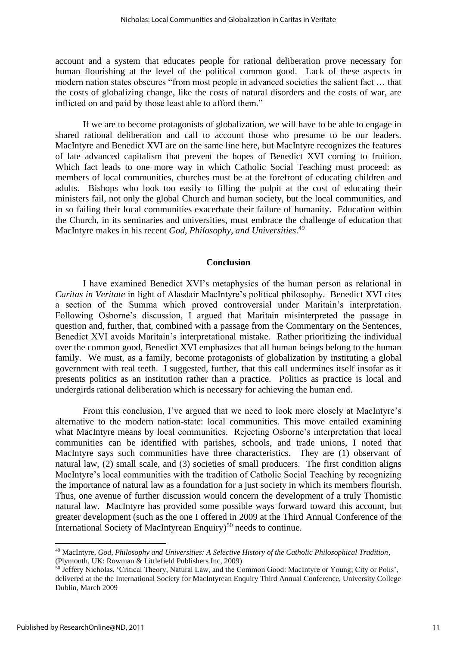account and a system that educates people for rational deliberation prove necessary for human flourishing at the level of the political common good. Lack of these aspects in modern nation states obscures "from most people in advanced societies the salient fact … that the costs of globalizing change, like the costs of natural disorders and the costs of war, are inflicted on and paid by those least able to afford them."

If we are to become protagonists of globalization, we will have to be able to engage in shared rational deliberation and call to account those who presume to be our leaders. MacIntyre and Benedict XVI are on the same line here, but MacIntyre recognizes the features of late advanced capitalism that prevent the hopes of Benedict XVI coming to fruition. Which fact leads to one more way in which Catholic Social Teaching must proceed: as members of local communities, churches must be at the forefront of educating children and adults. Bishops who look too easily to filling the pulpit at the cost of educating their ministers fail, not only the global Church and human society, but the local communities, and in so failing their local communities exacerbate their failure of humanity. Education within the Church, in its seminaries and universities, must embrace the challenge of education that MacIntyre makes in his recent *God, Philosophy, and Universities*. 49

#### **Conclusion**

I have examined Benedict XVI's metaphysics of the human person as relational in *Caritas in Veritate* in light of Alasdair MacIntyre's political philosophy. Benedict XVI cites a section of the Summa which proved controversial under Maritain's interpretation. Following Osborne's discussion, I argued that Maritain misinterpreted the passage in question and, further, that, combined with a passage from the Commentary on the Sentences, Benedict XVI avoids Maritain's interpretational mistake. Rather prioritizing the individual over the common good, Benedict XVI emphasizes that all human beings belong to the human family. We must, as a family, become protagonists of globalization by instituting a global government with real teeth. I suggested, further, that this call undermines itself insofar as it presents politics as an institution rather than a practice. Politics as practice is local and undergirds rational deliberation which is necessary for achieving the human end.

From this conclusion, I've argued that we need to look more closely at MacIntyre's alternative to the modern nation-state: local communities. This move entailed examining what MacIntyre means by local communities. Rejecting Osborne's interpretation that local communities can be identified with parishes, schools, and trade unions, I noted that MacIntyre says such communities have three characteristics. They are (1) observant of natural law, (2) small scale, and (3) societies of small producers. The first condition aligns MacIntyre's local communities with the tradition of Catholic Social Teaching by recognizing the importance of natural law as a foundation for a just society in which its members flourish. Thus, one avenue of further discussion would concern the development of a truly Thomistic natural law. MacIntyre has provided some possible ways forward toward this account, but greater development (such as the one I offered in 2009 at the Third Annual Conference of the International Society of MacIntyrean Enquiry)<sup>50</sup> needs to continue.

<sup>49</sup> MacIntyre, *God, Philosophy and Universities: A Selective History of the Catholic Philosophical Tradition*, (Plymouth, UK: Rowman & Littlefield Publishers Inc, 2009)

<sup>50</sup> Jeffery Nicholas, 'Critical Theory, Natural Law, and the Common Good: MacIntyre or Young; City or Polis', delivered at the the International Society for MacIntyrean Enquiry Third Annual Conference, University College Dublin, March 2009